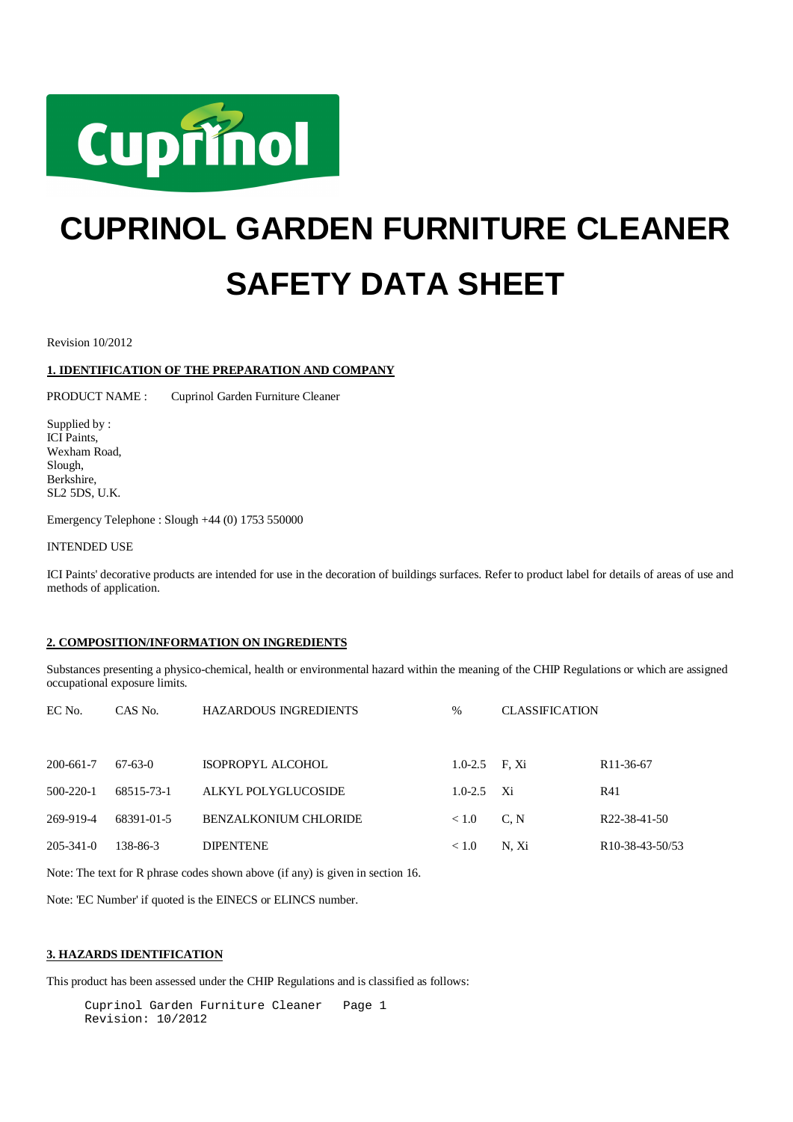

# **CUPRINOL GARDEN FURNITURE CLEANER SAFETY DATA SHEET**

Revision 10/2012

# **1. IDENTIFICATION OF THE PREPARATION AND COMPANY**

PRODUCT NAME : Cuprinol Garden Furniture Cleaner

Supplied by : ICI Paints, Wexham Road, Slough, Berkshire, SL2 5DS, U.K.

Emergency Telephone : Slough +44 (0) 1753 550000

INTENDED USE

ICI Paints' decorative products are intended for use in the decoration of buildings surfaces. Refer to product label for details of areas of use and methods of application.

## **2. COMPOSITION/INFORMATION ON INGREDIENTS**

Substances presenting a physico-chemical, health or environmental hazard within the meaning of the CHIP Regulations or which are assigned occupational exposure limits.

| EC No.          | CAS No.    | <b>HAZARDOUS INGREDIENTS</b> | $\%$            | <b>CLASSIFICATION</b> |                              |
|-----------------|------------|------------------------------|-----------------|-----------------------|------------------------------|
|                 |            |                              |                 |                       |                              |
| 200-661-7       | $67-63-0$  | <b>ISOPROPYL ALCOHOL</b>     | $1.0-2.5$ F. Xi |                       | R <sub>11</sub> -36-67       |
| $500 - 220 - 1$ | 68515-73-1 | ALKYL POLYGLUCOSIDE          | $1.0 - 2.5$     | - Xi                  | R41                          |
| 269-919-4       | 68391-01-5 | <b>BENZALKONIUM CHLORIDE</b> | < 1.0           | C, N                  | R <sub>22</sub> -38-41-50    |
| $205 - 341 - 0$ | 138-86-3   | <b>DIPENTENE</b>             | < 1.0           | N. Xi                 | R <sub>10</sub> -38-43-50/53 |

Note: The text for R phrase codes shown above (if any) is given in section 16.

Note: 'EC Number' if quoted is the EINECS or ELINCS number.

## **3. HAZARDS IDENTIFICATION**

This product has been assessed under the CHIP Regulations and is classified as follows:

Cuprinol Garden Furniture Cleaner Page 1 Revision: 10/2012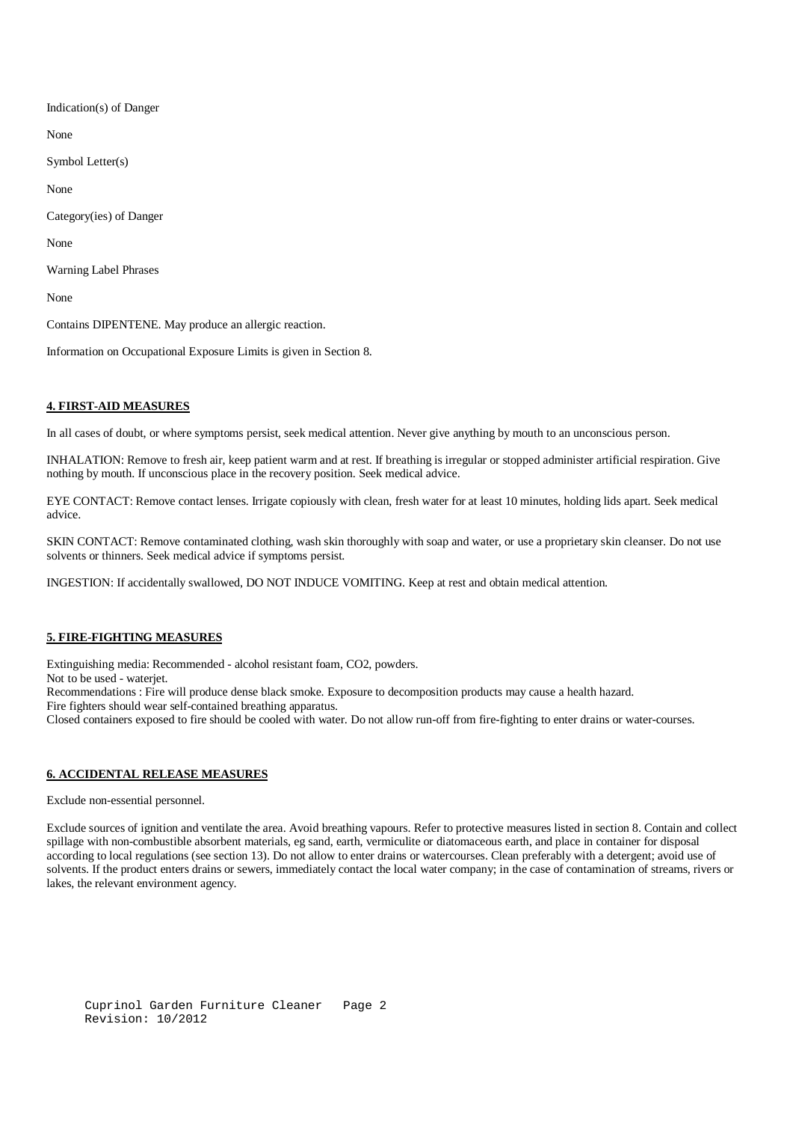Indication(s) of Danger

None

Symbol Letter(s)

None

Category(ies) of Danger

None

Warning Label Phrases

None

Contains DIPENTENE. May produce an allergic reaction.

Information on Occupational Exposure Limits is given in Section 8.

# **4. FIRST-AID MEASURES**

In all cases of doubt, or where symptoms persist, seek medical attention. Never give anything by mouth to an unconscious person.

INHALATION: Remove to fresh air, keep patient warm and at rest. If breathing is irregular or stopped administer artificial respiration. Give nothing by mouth. If unconscious place in the recovery position. Seek medical advice.

EYE CONTACT: Remove contact lenses. Irrigate copiously with clean, fresh water for at least 10 minutes, holding lids apart. Seek medical advice.

SKIN CONTACT: Remove contaminated clothing, wash skin thoroughly with soap and water, or use a proprietary skin cleanser. Do not use solvents or thinners. Seek medical advice if symptoms persist.

INGESTION: If accidentally swallowed, DO NOT INDUCE VOMITING. Keep at rest and obtain medical attention.

# **5. FIRE-FIGHTING MEASURES**

Extinguishing media: Recommended - alcohol resistant foam, CO2, powders.

Not to be used - waterjet.

Recommendations : Fire will produce dense black smoke. Exposure to decomposition products may cause a health hazard.

Fire fighters should wear self-contained breathing apparatus.

Closed containers exposed to fire should be cooled with water. Do not allow run-off from fire-fighting to enter drains or water-courses.

# **6. ACCIDENTAL RELEASE MEASURES**

Exclude non-essential personnel.

Exclude sources of ignition and ventilate the area. Avoid breathing vapours. Refer to protective measures listed in section 8. Contain and collect spillage with non-combustible absorbent materials, eg sand, earth, vermiculite or diatomaceous earth, and place in container for disposal according to local regulations (see section 13). Do not allow to enter drains or watercourses. Clean preferably with a detergent; avoid use of solvents. If the product enters drains or sewers, immediately contact the local water company; in the case of contamination of streams, rivers or lakes, the relevant environment agency.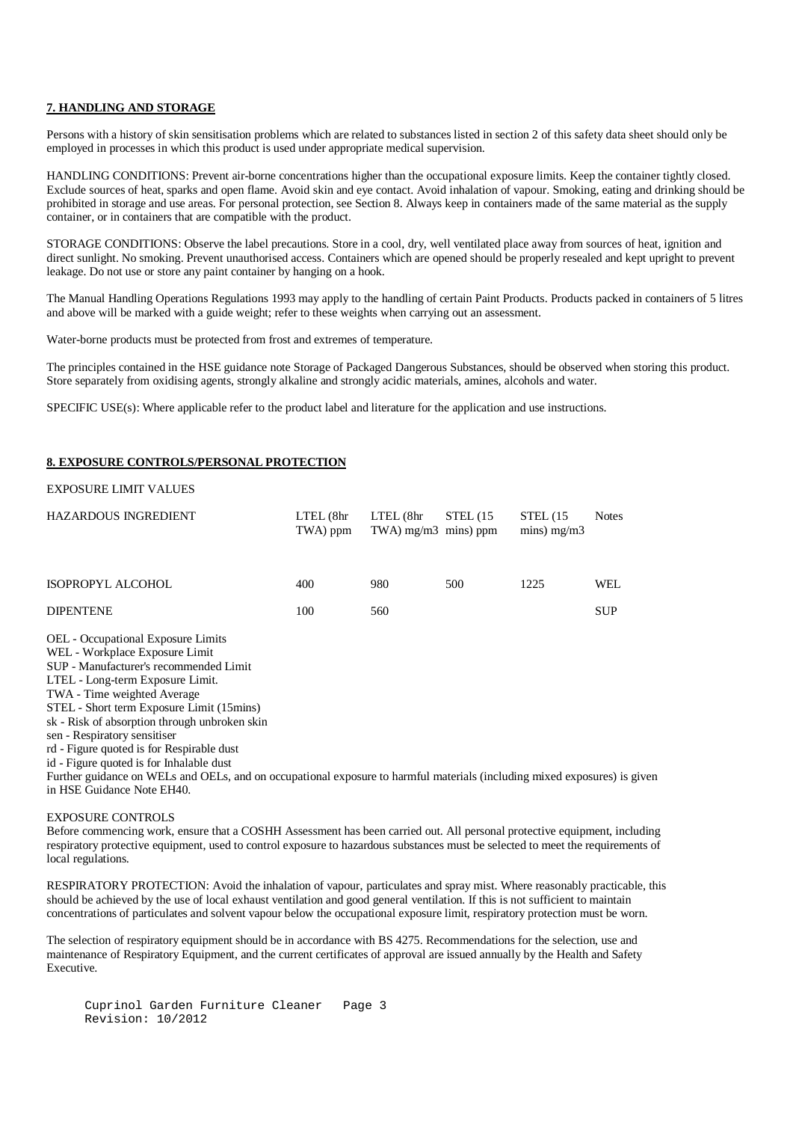## **7. HANDLING AND STORAGE**

Persons with a history of skin sensitisation problems which are related to substances listed in section 2 of this safety data sheet should only be employed in processes in which this product is used under appropriate medical supervision.

HANDLING CONDITIONS: Prevent air-borne concentrations higher than the occupational exposure limits. Keep the container tightly closed. Exclude sources of heat, sparks and open flame. Avoid skin and eye contact. Avoid inhalation of vapour. Smoking, eating and drinking should be prohibited in storage and use areas. For personal protection, see Section 8. Always keep in containers made of the same material as the supply container, or in containers that are compatible with the product.

STORAGE CONDITIONS: Observe the label precautions. Store in a cool, dry, well ventilated place away from sources of heat, ignition and direct sunlight. No smoking. Prevent unauthorised access. Containers which are opened should be properly resealed and kept upright to prevent leakage. Do not use or store any paint container by hanging on a hook.

The Manual Handling Operations Regulations 1993 may apply to the handling of certain Paint Products. Products packed in containers of 5 litres and above will be marked with a guide weight; refer to these weights when carrying out an assessment.

Water-borne products must be protected from frost and extremes of temperature.

The principles contained in the HSE guidance note Storage of Packaged Dangerous Substances, should be observed when storing this product. Store separately from oxidising agents, strongly alkaline and strongly acidic materials, amines, alcohols and water.

SPECIFIC USE(s): Where applicable refer to the product label and literature for the application and use instructions.

#### **8. EXPOSURE CONTROLS/PERSONAL PROTECTION**

## EXPOSURE LIMIT VALUES

| <b>HAZARDOUS INGREDIENT</b> | $LTEL$ ( $8hr$ )<br>TWA) ppm | LTEL (8hr<br>$TWA$ ) mg/m $3$ mins) ppm | STEL $(15$ | STEL(15)<br>mins) $mg/m3$ | <b>Notes</b> |
|-----------------------------|------------------------------|-----------------------------------------|------------|---------------------------|--------------|
| ISOPROPYL ALCOHOL           | 400                          | 980                                     | 500        | 1225                      | WEL          |
| <b>DIPENTENE</b>            | 100                          | 560                                     |            |                           | <b>SUP</b>   |
|                             |                              |                                         |            |                           |              |

OEL - Occupational Exposure Limits

WEL - Workplace Exposure Limit

SUP - Manufacturer's recommended Limit

LTEL - Long-term Exposure Limit.

TWA - Time weighted Average

STEL - Short term Exposure Limit (15mins)

sk - Risk of absorption through unbroken skin

sen - Respiratory sensitiser

rd - Figure quoted is for Respirable dust

id - Figure quoted is for Inhalable dust

Further guidance on WELs and OELs, and on occupational exposure to harmful materials (including mixed exposures) is given in HSE Guidance Note EH40.

#### EXPOSURE CONTROLS

Before commencing work, ensure that a COSHH Assessment has been carried out. All personal protective equipment, including respiratory protective equipment, used to control exposure to hazardous substances must be selected to meet the requirements of local regulations.

RESPIRATORY PROTECTION: Avoid the inhalation of vapour, particulates and spray mist. Where reasonably practicable, this should be achieved by the use of local exhaust ventilation and good general ventilation. If this is not sufficient to maintain concentrations of particulates and solvent vapour below the occupational exposure limit, respiratory protection must be worn.

The selection of respiratory equipment should be in accordance with BS 4275. Recommendations for the selection, use and maintenance of Respiratory Equipment, and the current certificates of approval are issued annually by the Health and Safety Executive.

Cuprinol Garden Furniture Cleaner Page 3 Revision: 10/2012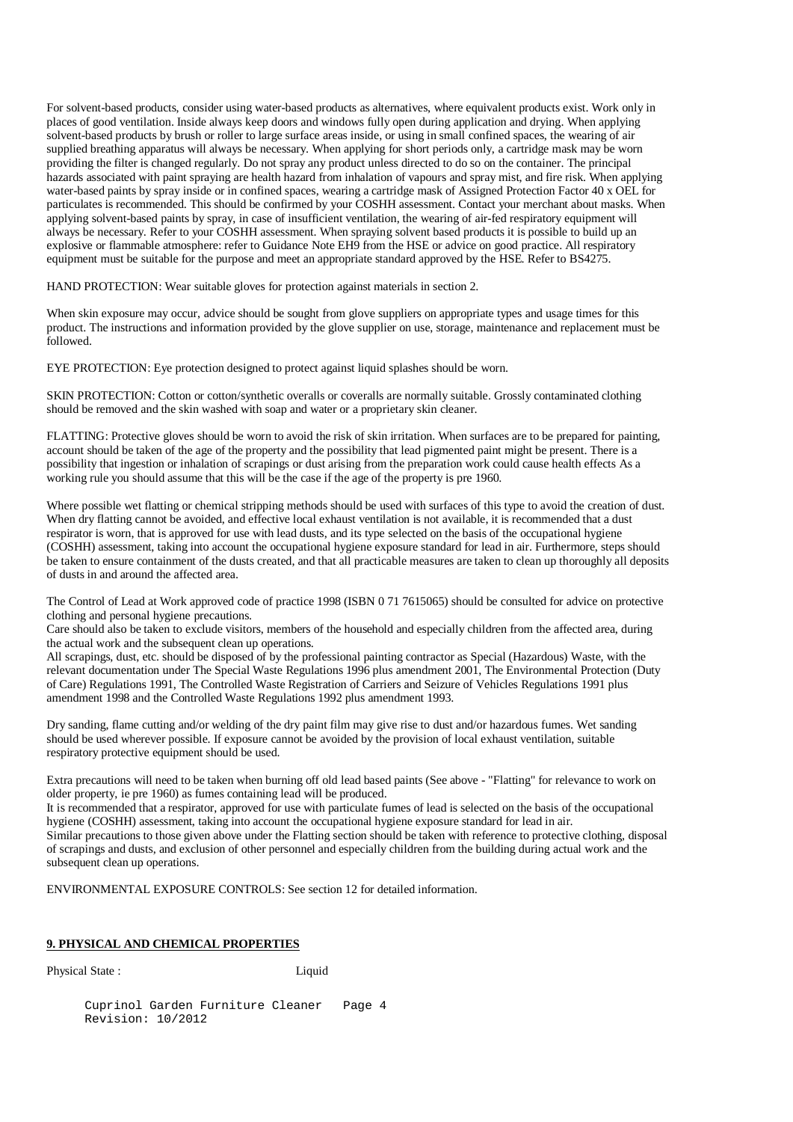For solvent-based products, consider using water-based products as alternatives, where equivalent products exist. Work only in places of good ventilation. Inside always keep doors and windows fully open during application and drying. When applying solvent-based products by brush or roller to large surface areas inside, or using in small confined spaces, the wearing of air supplied breathing apparatus will always be necessary. When applying for short periods only, a cartridge mask may be worn providing the filter is changed regularly. Do not spray any product unless directed to do so on the container. The principal hazards associated with paint spraying are health hazard from inhalation of vapours and spray mist, and fire risk. When applying water-based paints by spray inside or in confined spaces, wearing a cartridge mask of Assigned Protection Factor 40 x OEL for particulates is recommended. This should be confirmed by your COSHH assessment. Contact your merchant about masks. When applying solvent-based paints by spray, in case of insufficient ventilation, the wearing of air-fed respiratory equipment will always be necessary. Refer to your COSHH assessment. When spraying solvent based products it is possible to build up an explosive or flammable atmosphere: refer to Guidance Note EH9 from the HSE or advice on good practice. All respiratory equipment must be suitable for the purpose and meet an appropriate standard approved by the HSE. Refer to BS4275.

HAND PROTECTION: Wear suitable gloves for protection against materials in section 2.

When skin exposure may occur, advice should be sought from glove suppliers on appropriate types and usage times for this product. The instructions and information provided by the glove supplier on use, storage, maintenance and replacement must be followed.

EYE PROTECTION: Eye protection designed to protect against liquid splashes should be worn.

SKIN PROTECTION: Cotton or cotton/synthetic overalls or coveralls are normally suitable. Grossly contaminated clothing should be removed and the skin washed with soap and water or a proprietary skin cleaner.

FLATTING: Protective gloves should be worn to avoid the risk of skin irritation. When surfaces are to be prepared for painting, account should be taken of the age of the property and the possibility that lead pigmented paint might be present. There is a possibility that ingestion or inhalation of scrapings or dust arising from the preparation work could cause health effects As a working rule you should assume that this will be the case if the age of the property is pre 1960.

Where possible wet flatting or chemical stripping methods should be used with surfaces of this type to avoid the creation of dust. When dry flatting cannot be avoided, and effective local exhaust ventilation is not available, it is recommended that a dust respirator is worn, that is approved for use with lead dusts, and its type selected on the basis of the occupational hygiene (COSHH) assessment, taking into account the occupational hygiene exposure standard for lead in air. Furthermore, steps should be taken to ensure containment of the dusts created, and that all practicable measures are taken to clean up thoroughly all deposits of dusts in and around the affected area.

The Control of Lead at Work approved code of practice 1998 (ISBN 0 71 7615065) should be consulted for advice on protective clothing and personal hygiene precautions.

Care should also be taken to exclude visitors, members of the household and especially children from the affected area, during the actual work and the subsequent clean up operations.

All scrapings, dust, etc. should be disposed of by the professional painting contractor as Special (Hazardous) Waste, with the relevant documentation under The Special Waste Regulations 1996 plus amendment 2001, The Environmental Protection (Duty of Care) Regulations 1991, The Controlled Waste Registration of Carriers and Seizure of Vehicles Regulations 1991 plus amendment 1998 and the Controlled Waste Regulations 1992 plus amendment 1993.

Dry sanding, flame cutting and/or welding of the dry paint film may give rise to dust and/or hazardous fumes. Wet sanding should be used wherever possible. If exposure cannot be avoided by the provision of local exhaust ventilation, suitable respiratory protective equipment should be used.

Extra precautions will need to be taken when burning off old lead based paints (See above - "Flatting" for relevance to work on older property, ie pre 1960) as fumes containing lead will be produced.

It is recommended that a respirator, approved for use with particulate fumes of lead is selected on the basis of the occupational hygiene (COSHH) assessment, taking into account the occupational hygiene exposure standard for lead in air.

Similar precautions to those given above under the Flatting section should be taken with reference to protective clothing, disposal of scrapings and dusts, and exclusion of other personnel and especially children from the building during actual work and the subsequent clean up operations.

ENVIRONMENTAL EXPOSURE CONTROLS: See section 12 for detailed information.

## **9. PHYSICAL AND CHEMICAL PROPERTIES**

Physical State : Liquid

Cuprinol Garden Furniture Cleaner Page 4 Revision: 10/2012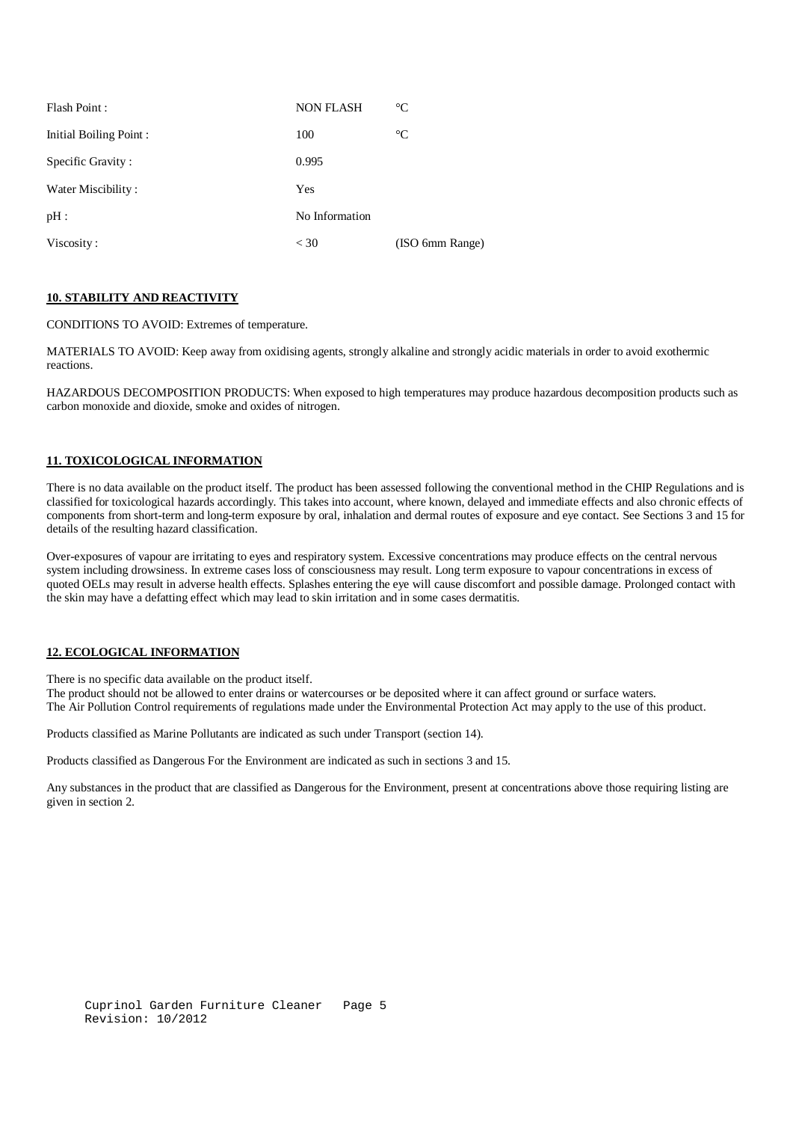| Flash Point:                  | <b>NON FLASH</b> | $\rm ^{\circ}C$ |
|-------------------------------|------------------|-----------------|
| <b>Initial Boiling Point:</b> | 100              | $\rm ^{\circ}C$ |
| Specific Gravity:             | 0.995            |                 |
| Water Miscibility:            | Yes              |                 |
| $pH$ :                        | No Information   |                 |
| Viscosity:                    | $<$ 30           | (ISO 6mm Range) |

## **10. STABILITY AND REACTIVITY**

CONDITIONS TO AVOID: Extremes of temperature.

MATERIALS TO AVOID: Keep away from oxidising agents, strongly alkaline and strongly acidic materials in order to avoid exothermic reactions.

HAZARDOUS DECOMPOSITION PRODUCTS: When exposed to high temperatures may produce hazardous decomposition products such as carbon monoxide and dioxide, smoke and oxides of nitrogen.

# **11. TOXICOLOGICAL INFORMATION**

There is no data available on the product itself. The product has been assessed following the conventional method in the CHIP Regulations and is classified for toxicological hazards accordingly. This takes into account, where known, delayed and immediate effects and also chronic effects of components from short-term and long-term exposure by oral, inhalation and dermal routes of exposure and eye contact. See Sections 3 and 15 for details of the resulting hazard classification.

Over-exposures of vapour are irritating to eyes and respiratory system. Excessive concentrations may produce effects on the central nervous system including drowsiness. In extreme cases loss of consciousness may result. Long term exposure to vapour concentrations in excess of quoted OELs may result in adverse health effects. Splashes entering the eye will cause discomfort and possible damage. Prolonged contact with the skin may have a defatting effect which may lead to skin irritation and in some cases dermatitis.

# **12. ECOLOGICAL INFORMATION**

There is no specific data available on the product itself.

The product should not be allowed to enter drains or watercourses or be deposited where it can affect ground or surface waters. The Air Pollution Control requirements of regulations made under the Environmental Protection Act may apply to the use of this product.

Products classified as Marine Pollutants are indicated as such under Transport (section 14).

Products classified as Dangerous For the Environment are indicated as such in sections 3 and 15.

Any substances in the product that are classified as Dangerous for the Environment, present at concentrations above those requiring listing are given in section 2.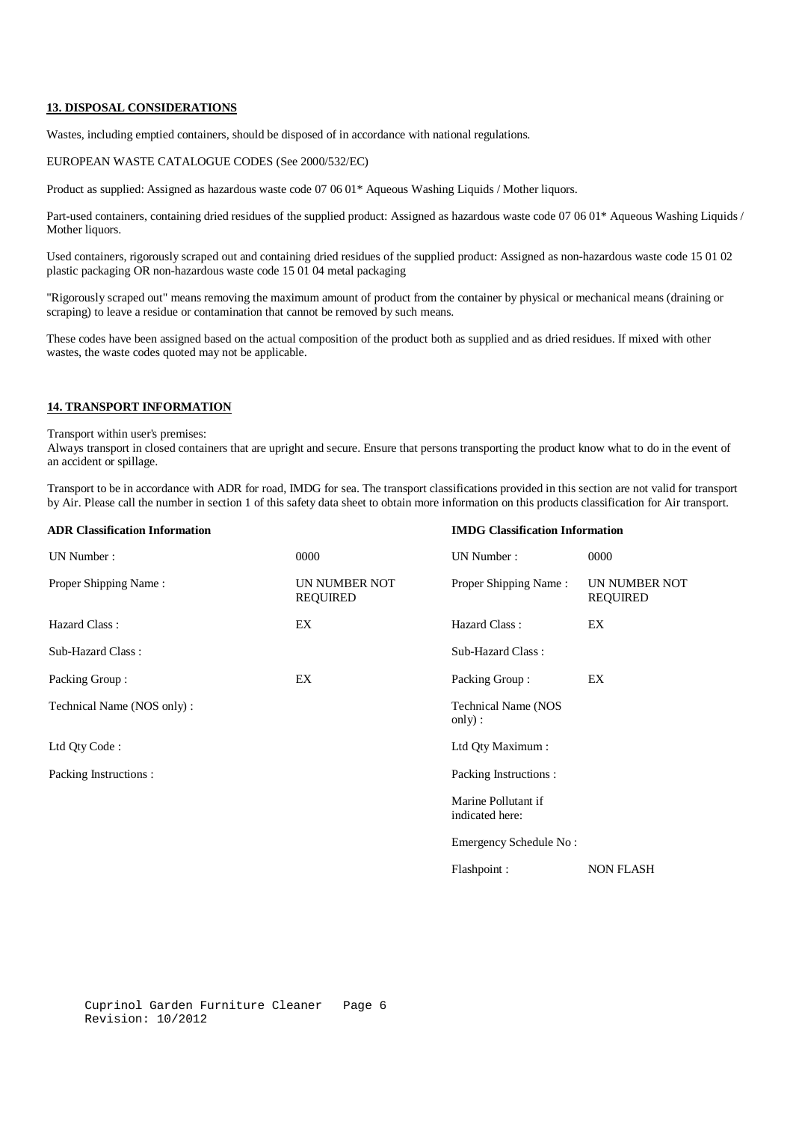#### **13. DISPOSAL CONSIDERATIONS**

Wastes, including emptied containers, should be disposed of in accordance with national regulations.

# EUROPEAN WASTE CATALOGUE CODES (See 2000/532/EC)

Product as supplied: Assigned as hazardous waste code 07 06 01\* Aqueous Washing Liquids / Mother liquors.

Part-used containers, containing dried residues of the supplied product: Assigned as hazardous waste code 07 06 01\* Aqueous Washing Liquids / Mother liquors.

Used containers, rigorously scraped out and containing dried residues of the supplied product: Assigned as non-hazardous waste code 15 01 02 plastic packaging OR non-hazardous waste code 15 01 04 metal packaging

"Rigorously scraped out" means removing the maximum amount of product from the container by physical or mechanical means (draining or scraping) to leave a residue or contamination that cannot be removed by such means.

These codes have been assigned based on the actual composition of the product both as supplied and as dried residues. If mixed with other wastes, the waste codes quoted may not be applicable.

#### **14. TRANSPORT INFORMATION**

Transport within user's premises:

Always transport in closed containers that are upright and secure. Ensure that persons transporting the product know what to do in the event of an accident or spillage.

Transport to be in accordance with ADR for road, IMDG for sea. The transport classifications provided in this section are not valid for transport by Air. Please call the number in section 1 of this safety data sheet to obtain more information on this products classification for Air transport.

| <b>ADR Classification Information</b> | <b>IMDG</b> Classification Information |                                        |                                  |
|---------------------------------------|----------------------------------------|----------------------------------------|----------------------------------|
| UN Number:                            | 0000                                   | UN Number:                             | 0000                             |
| Proper Shipping Name:                 | UN NUMBER NOT<br><b>REQUIRED</b>       | Proper Shipping Name:                  | UN NUMBER NOT<br><b>REQUIRED</b> |
| Hazard Class:                         | EX                                     | Hazard Class:                          | EX                               |
| Sub-Hazard Class:                     |                                        | Sub-Hazard Class:                      |                                  |
| Packing Group:                        | EX                                     | Packing Group:                         | EX                               |
| Technical Name (NOS only):            |                                        | Technical Name (NOS<br>only):          |                                  |
| Ltd Qty Code:                         |                                        | Ltd Qty Maximum:                       |                                  |
| Packing Instructions :                |                                        | Packing Instructions:                  |                                  |
|                                       |                                        | Marine Pollutant if<br>indicated here: |                                  |
|                                       |                                        | Emergency Schedule No:                 |                                  |
|                                       |                                        | Flashpoint:                            | <b>NON FLASH</b>                 |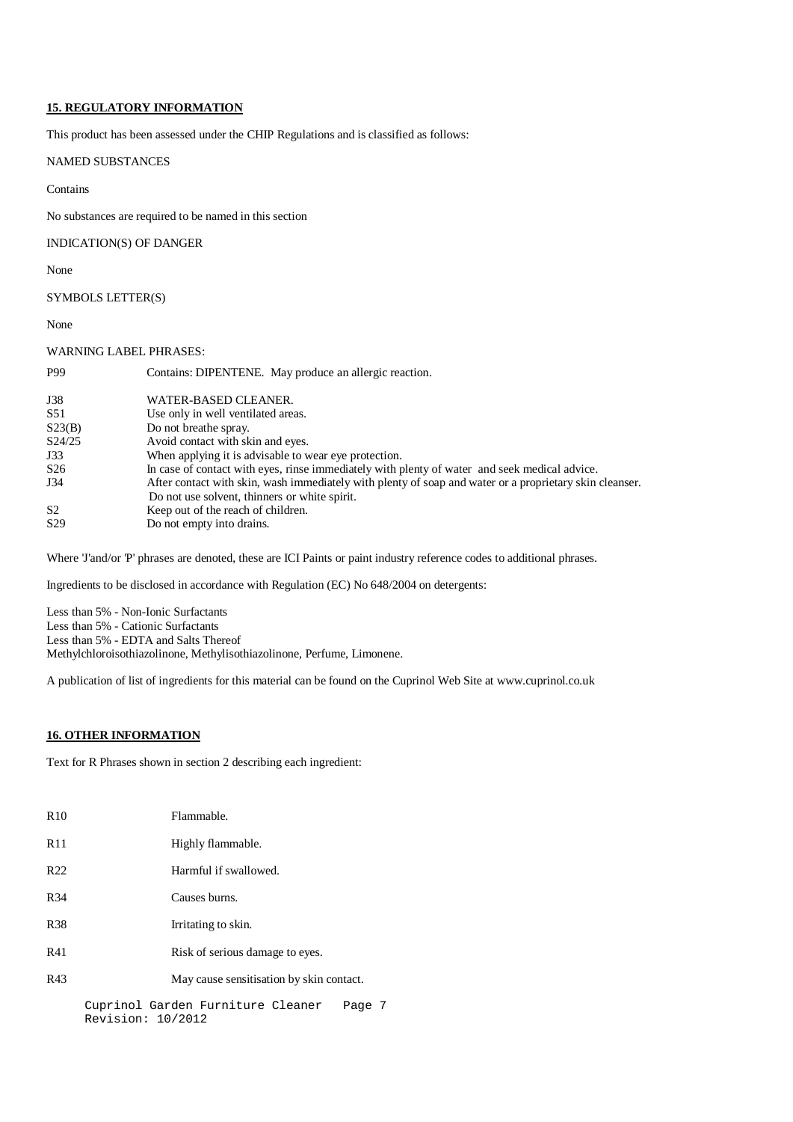## **15. REGULATORY INFORMATION**

This product has been assessed under the CHIP Regulations and is classified as follows:

# NAMED SUBSTANCES

Contains

No substances are required to be named in this section

# INDICATION(S) OF DANGER

None

# SYMBOLS LETTER(S)

None

#### WARNING LABEL PHRASES:

| <b>P99</b>      | Contains: DIPENTENE. May produce an allergic reaction.                                                  |
|-----------------|---------------------------------------------------------------------------------------------------------|
| J38             | WATER-BASED CLEANER.                                                                                    |
| S <sub>51</sub> | Use only in well ventilated areas.                                                                      |
| S23(B)          | Do not breathe spray.                                                                                   |
| S24/25          | Avoid contact with skin and eyes.                                                                       |
| J33             | When applying it is advisable to wear eye protection.                                                   |
| S <sub>26</sub> | In case of contact with eyes, rinse immediately with plenty of water and seek medical advice.           |
| J34             | After contact with skin, wash immediately with plenty of soap and water or a proprietary skin cleanser. |
|                 | Do not use solvent, thinners or white spirit.                                                           |
| S <sub>2</sub>  | Keep out of the reach of children.                                                                      |
| S <sub>29</sub> | Do not empty into drains.                                                                               |

Where 'J'and/or 'P' phrases are denoted, these are ICI Paints or paint industry reference codes to additional phrases.

Ingredients to be disclosed in accordance with Regulation (EC) No 648/2004 on detergents:

Less than 5% - Non-Ionic Surfactants Less than 5% - Cationic Surfactants Less than 5% - EDTA and Salts Thereof Methylchloroisothiazolinone, Methylisothiazolinone, Perfume, Limonene.

A publication of list of ingredients for this material can be found on the Cuprinol Web Site at www.cuprinol.co.uk

# **16. OTHER INFORMATION**

Text for R Phrases shown in section 2 describing each ingredient:

| R10             | Flammable.                                  |  |
|-----------------|---------------------------------------------|--|
| R11             | Highly flammable.                           |  |
| R <sub>22</sub> | Harmful if swallowed.                       |  |
| R <sub>34</sub> | Causes burns.                               |  |
| <b>R38</b>      | Irritating to skin.                         |  |
| R41             | Risk of serious damage to eyes.             |  |
| R43             | May cause sensitisation by skin contact.    |  |
|                 | Cuprinol Garden Furniture Cleaner<br>Page 7 |  |

Cuprinol Garden Furniture Cleaner Page 7 Revision: 10/2012